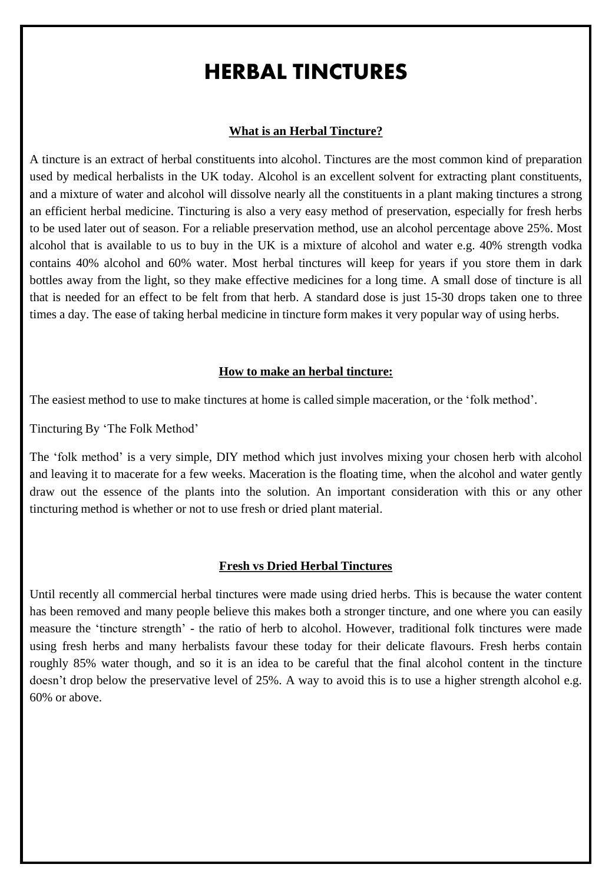# HERBAL TINCTURES

### **What is an Herbal Tincture?**

A tincture is an extract of herbal constituents into alcohol. Tinctures are the most common kind of preparation used by medical herbalists in the UK today. Alcohol is an excellent solvent for extracting plant constituents, and a mixture of water and alcohol will dissolve nearly all the constituents in a plant making tinctures a strong an efficient herbal medicine. Tincturing is also a very easy method of preservation, especially for fresh herbs to be used later out of season. For a reliable preservation method, use an alcohol percentage above 25%. Most alcohol that is available to us to buy in the UK is a mixture of alcohol and water e.g. 40% strength vodka contains 40% alcohol and 60% water. Most herbal tinctures will keep for years if you store them in dark bottles away from the light, so they make effective medicines for a long time. A small dose of tincture is all that is needed for an effect to be felt from that herb. A standard dose is just 15-30 drops taken one to three times a day. The ease of taking herbal medicine in tincture form makes it very popular way of using herbs.

#### **How to make an herbal tincture:**

The easiest method to use to make tinctures at home is called simple maceration, or the 'folk method'.

Tincturing By 'The Folk Method'

The 'folk method' is a very simple, DIY method which just involves mixing your chosen herb with alcohol and leaving it to macerate for a few weeks. Maceration is the floating time, when the alcohol and water gently draw out the essence of the plants into the solution. An important consideration with this or any other tincturing method is whether or not to use fresh or dried plant material.

#### **Fresh vs Dried Herbal Tinctures**

Until recently all commercial herbal tinctures were made using dried herbs. This is because the water content has been removed and many people believe this makes both a stronger tincture, and one where you can easily measure the 'tincture strength' - the ratio of herb to alcohol. However, traditional folk tinctures were made using fresh herbs and many herbalists favour these today for their delicate flavours. Fresh herbs contain roughly 85% water though, and so it is an idea to be careful that the final alcohol content in the tincture doesn't drop below the preservative level of 25%. A way to avoid this is to use a higher strength alcohol e.g. 60% or above.